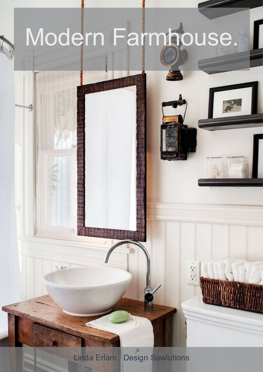

 $\mathcal{C}_1$ 

 $\sqrt{12}$ 

**Design Sewlutions** Linda Erlam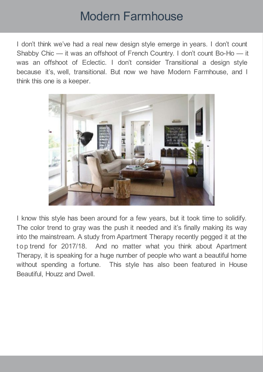I don't think we've had a real new design style emerge in years. I don't count Shabby Chic — it was an offshoot of French Country. I don't count Bo-Ho — it was an offshoot of Eclectic. I don't consider Transitional a design style because it's, well, transitional. But now we have Modern Farmhouse, and I think this one is a keeper.



I know this style has been around for a few years, but it took time to solidify. The color trend to gray was the push it needed and it's finally making its way into the mainstream. A study from Apartment Therapy recently pegged it at the t op trend for 2017/18. And no matter what you think about Apartment Therapy, it is speaking for a huge number of people who want a beautiful home without spending a fortune. This style has also been featured in House Beautiful, Houzz and Dwell.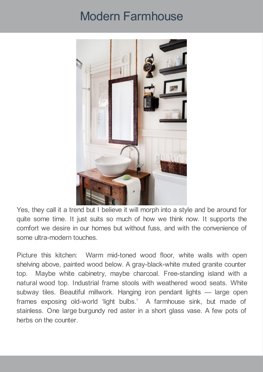

Yes, they call it a trend but I believe it will morph into a style and be around for quite some time. It just suits so much of how we think now. It supports the comfort we desire in our homes but without fuss, and with the convenience of some ultra-modern touches.

Picture this kitchen: Warm mid-toned wood floor, white walls with open shelving above, painted wood below. A gray-black-white muted granite counter top. Maybe white cabinetry, maybe charcoal. Free-standing island with a natural wood top. Industrial frame stools with weathered wood seats. White subway tiles. Beautiful millwork. Hanging iron pendant lights — large open frames exposing old-world 'light bulbs.' A farmhouse sink, but made of stainless. One large burgundy red aster in a short glass vase. A few pots of herbs on the counter.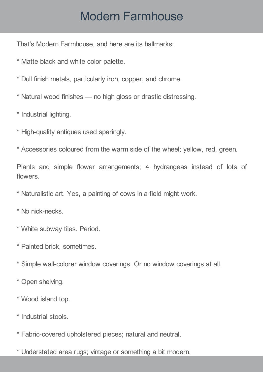That's Modern Farmhouse, and here are its hallmarks:

- \* Matte black and white color palette.
- \* Dull finish metals, particularly iron, copper, and chrome.
- \* Natural wood finishes no high gloss or drastic distressing.
- \* Industrial lighting.
- \* High-quality antiques used sparingly.
- \* Accessories coloured from the warm side of the wheel; yellow, red, green.

Plants and simple flower arrangements; 4 hydrangeas instead of lots of flowers.

- \* Naturalistic art. Yes, a painting of cows in a field might work.
- \* No nick-necks.
- \* White subway tiles. Period.
- \* Painted brick, sometimes.
- \* Simple wall-colorer window coverings. Or no window coverings at all.
- \* Open shelving.
- \* Wood island top.
- \* Industrial stools.
- \* Fabric-covered upholstered pieces; natural and neutral.
- \* Understated area rugs; vintage or something a bit modern.